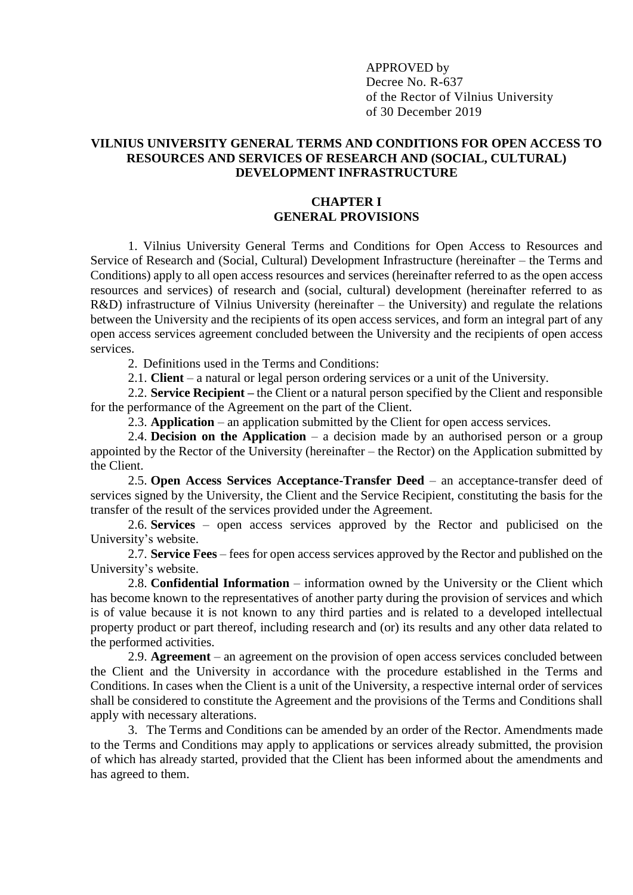APPROVED by Decree No. R-637 of the Rector of Vilnius University of 30 December 2019

## **VILNIUS UNIVERSITY GENERAL TERMS AND CONDITIONS FOR OPEN ACCESS TO RESOURCES AND SERVICES OF RESEARCH AND (SOCIAL, CULTURAL) DEVELOPMENT INFRASTRUCTURE**

### **CHAPTER I GENERAL PROVISIONS**

1. Vilnius University General Terms and Conditions for Open Access to Resources and Service of Research and (Social, Cultural) Development Infrastructure (hereinafter – the Terms and Conditions) apply to all open access resources and services (hereinafter referred to as the open access resources and services) of research and (social, cultural) development (hereinafter referred to as R&D) infrastructure of Vilnius University (hereinafter – the University) and regulate the relations between the University and the recipients of its open access services, and form an integral part of any open access services agreement concluded between the University and the recipients of open access services.

2. Definitions used in the Terms and Conditions:

2.1. **Client** – a natural or legal person ordering services or a unit of the University.

2.2. **Service Recipient –** the Client or a natural person specified by the Client and responsible for the performance of the Agreement on the part of the Client.

2.3. **Application** – an application submitted by the Client for open access services.

2.4. **Decision on the Application** – a decision made by an authorised person or a group appointed by the Rector of the University (hereinafter – the Rector) on the Application submitted by the Client.

2.5. **Open Access Services Acceptance-Transfer Deed** – an acceptance-transfer deed of services signed by the University, the Client and the Service Recipient, constituting the basis for the transfer of the result of the services provided under the Agreement.

2.6. **Services** – open access services approved by the Rector and publicised on the University's website.

2.7. **Service Fees** – fees for open access services approved by the Rector and published on the University's website.

2.8. **Confidential Information** – information owned by the University or the Client which has become known to the representatives of another party during the provision of services and which is of value because it is not known to any third parties and is related to a developed intellectual property product or part thereof, including research and (or) its results and any other data related to the performed activities.

2.9. **Agreement** – an agreement on the provision of open access services concluded between the Client and the University in accordance with the procedure established in the Terms and Conditions. In cases when the Client is a unit of the University, a respective internal order of services shall be considered to constitute the Agreement and the provisions of the Terms and Conditions shall apply with necessary alterations.

3. The Terms and Conditions can be amended by an order of the Rector. Amendments made to the Terms and Conditions may apply to applications or services already submitted, the provision of which has already started, provided that the Client has been informed about the amendments and has agreed to them.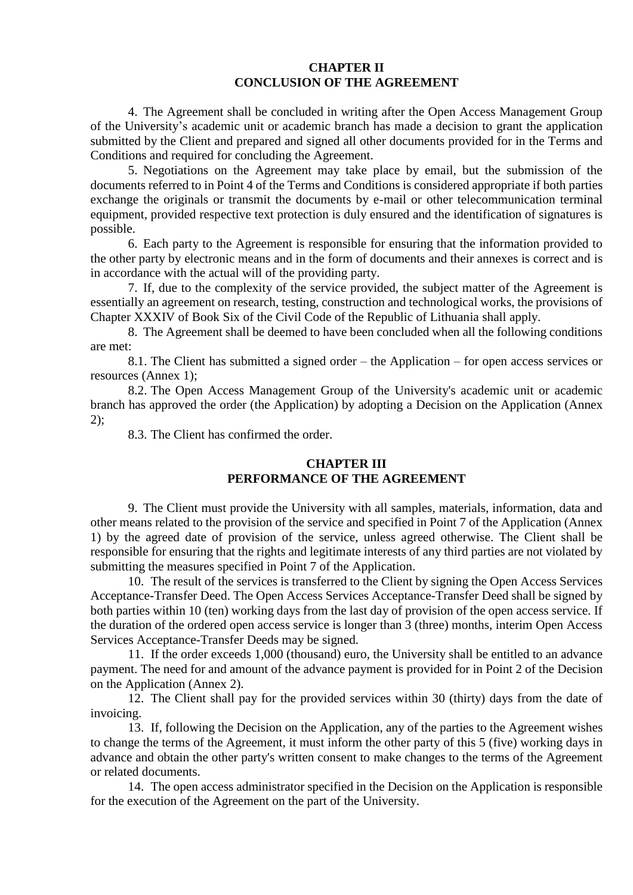## **CHAPTER II CONCLUSION OF THE AGREEMENT**

4. The Agreement shall be concluded in writing after the Open Access Management Group of the University's academic unit or academic branch has made a decision to grant the application submitted by the Client and prepared and signed all other documents provided for in the Terms and Conditions and required for concluding the Agreement.

5. Negotiations on the Agreement may take place by email, but the submission of the documents referred to in Point 4 of the Terms and Conditions is considered appropriate if both parties exchange the originals or transmit the documents by e-mail or other telecommunication terminal equipment, provided respective text protection is duly ensured and the identification of signatures is possible.

6. Each party to the Agreement is responsible for ensuring that the information provided to the other party by electronic means and in the form of documents and their annexes is correct and is in accordance with the actual will of the providing party.

7. If, due to the complexity of the service provided, the subject matter of the Agreement is essentially an agreement on research, testing, construction and technological works, the provisions of Chapter XXXIV of Book Six of the Civil Code of the Republic of Lithuania shall apply.

8. The Agreement shall be deemed to have been concluded when all the following conditions are met:

8.1. The Client has submitted a signed order – the Application – for open access services or resources (Annex 1);

8.2. The Open Access Management Group of the University's academic unit or academic branch has approved the order (the Application) by adopting a Decision on the Application (Annex 2);

8.3. The Client has confirmed the order.

# **CHAPTER III PERFORMANCE OF THE AGREEMENT**

9. The Client must provide the University with all samples, materials, information, data and other means related to the provision of the service and specified in Point 7 of the Application (Annex 1) by the agreed date of provision of the service, unless agreed otherwise. The Client shall be responsible for ensuring that the rights and legitimate interests of any third parties are not violated by submitting the measures specified in Point 7 of the Application.

10. The result of the services is transferred to the Client by signing the Open Access Services Acceptance-Transfer Deed. The Open Access Services Acceptance-Transfer Deed shall be signed by both parties within 10 (ten) working days from the last day of provision of the open access service. If the duration of the ordered open access service is longer than 3 (three) months, interim Open Access Services Acceptance-Transfer Deeds may be signed.

11. If the order exceeds 1,000 (thousand) euro, the University shall be entitled to an advance payment. The need for and amount of the advance payment is provided for in Point 2 of the Decision on the Application (Annex 2).

12. The Client shall pay for the provided services within 30 (thirty) days from the date of invoicing.

13. If, following the Decision on the Application, any of the parties to the Agreement wishes to change the terms of the Agreement, it must inform the other party of this 5 (five) working days in advance and obtain the other party's written consent to make changes to the terms of the Agreement or related documents.

14. The open access administrator specified in the Decision on the Application is responsible for the execution of the Agreement on the part of the University.